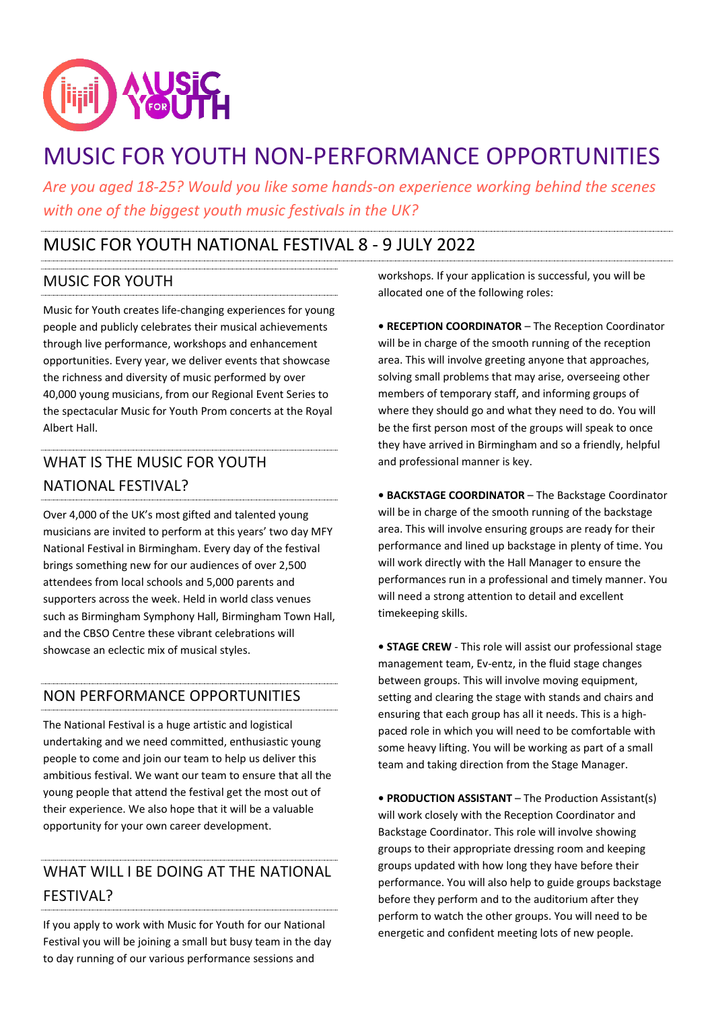

# MUSIC FOR YOUTH NON-PERFORMANCE OPPORTUNITIES

*Are you aged 18-25? Would you like some hands-on experience working behind the scenes with one of the biggest youth music festivals in the UK?*

## MUSIC FOR YOUTH NATIONAL FESTIVAL 8 - 9 JULY 2022

### MUSIC FOR YOUTH

Music for Youth creates life-changing experiences for young people and publicly celebrates their musical achievements through live performance, workshops and enhancement opportunities. Every year, we deliver events that showcase the richness and diversity of music performed by over 40,000 young musicians, from our Regional Event Series to the spectacular Music for Youth Prom concerts at the Royal Albert Hall.

# WHAT IS THE MUSIC FOR YOUTH NATIONAL FESTIVAL?

Over 4,000 of the UK's most gifted and talented young musicians are invited to perform at this years' two day MFY National Festival in Birmingham. Every day of the festival brings something new for our audiences of over 2,500 attendees from local schools and 5,000 parents and supporters across the week. Held in world class venues such as Birmingham Symphony Hall, Birmingham Town Hall, and the CBSO Centre these vibrant celebrations will showcase an eclectic mix of musical styles.

### NON PERFORMANCE OPPORTUNITIES

The National Festival is a huge artistic and logistical undertaking and we need committed, enthusiastic young people to come and join our team to help us deliver this ambitious festival. We want our team to ensure that all the young people that attend the festival get the most out of their experience. We also hope that it will be a valuable opportunity for your own career development.

# WHAT WILL I BE DOING AT THE NATIONAL FESTIVAL?

If you apply to work with Music for Youth for our National Festival you will be joining a small but busy team in the day to day running of our various performance sessions and

workshops. If your application is successful, you will be allocated one of the following roles:

**• RECEPTION COORDINATOR** – The Reception Coordinator will be in charge of the smooth running of the reception area. This will involve greeting anyone that approaches, solving small problems that may arise, overseeing other members of temporary staff, and informing groups of where they should go and what they need to do. You will be the first person most of the groups will speak to once they have arrived in Birmingham and so a friendly, helpful and professional manner is key.

**• BACKSTAGE COORDINATOR** – The Backstage Coordinator will be in charge of the smooth running of the backstage area. This will involve ensuring groups are ready for their performance and lined up backstage in plenty of time. You will work directly with the Hall Manager to ensure the performances run in a professional and timely manner. You will need a strong attention to detail and excellent timekeeping skills.

**• STAGE CREW** - This role will assist our professional stage management team, Ev-entz, in the fluid stage changes between groups. This will involve moving equipment, setting and clearing the stage with stands and chairs and ensuring that each group has all it needs. This is a highpaced role in which you will need to be comfortable with some heavy lifting. You will be working as part of a small team and taking direction from the Stage Manager.

**• PRODUCTION ASSISTANT** – The Production Assistant(s) will work closely with the Reception Coordinator and Backstage Coordinator. This role will involve showing groups to their appropriate dressing room and keeping groups updated with how long they have before their performance. You will also help to guide groups backstage before they perform and to the auditorium after they perform to watch the other groups. You will need to be energetic and confident meeting lots of new people.